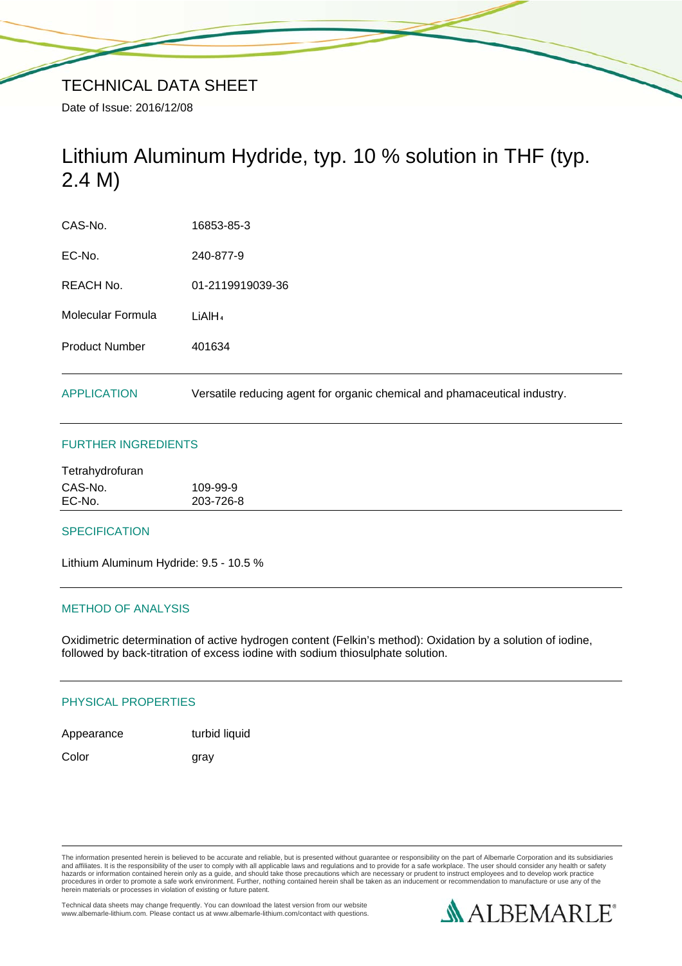# Lithium Aluminum Hydride, typ. 10 % solution in THF (typ. 2.4 M)

| <b>APPLICATION</b>    | Versatile reducing agent for organic chemical and phamaceutical industry. |
|-----------------------|---------------------------------------------------------------------------|
| <b>Product Number</b> | 401634                                                                    |
| Molecular Formula     | LiAlH <sub>4</sub>                                                        |
| <b>REACH No.</b>      | 01-2119919039-36                                                          |
| EC-No.                | 240-877-9                                                                 |
| CAS-No.               | 16853-85-3                                                                |

# FURTHER INGREDIENTS

| CAS-No. | 109-99-9  |
|---------|-----------|
| EC-No.  | 203-726-8 |

### **SPECIFICATION**

Lithium Aluminum Hydride: 9.5 - 10.5 %

## METHOD OF ANALYSIS

Oxidimetric determination of active hydrogen content (Felkin's method): Oxidation by a solution of iodine, followed by back-titration of excess iodine with sodium thiosulphate solution.

# PHYSICAL PROPERTIES

| Appearance | turbid liquid |
|------------|---------------|
|            |               |

Color gray

The information presented herein is believed to be accurate and reliable, but is presented without guarantee or responsibility on the part of Albemarle Corporation and its subsidiaries<br>and affiliates. It is the responsibil hazards or information contained herein only as a guide, and should take those precautions which are necessary or prudent to instruct employees and to develop work practice<br>procedures in order to promote a safe work enviro

Technical data sheets may change frequently. You can download the latest version from our website www.albemarle-lithium.com. Please contact us at www.albemarle-lithium.com/contact with questions.

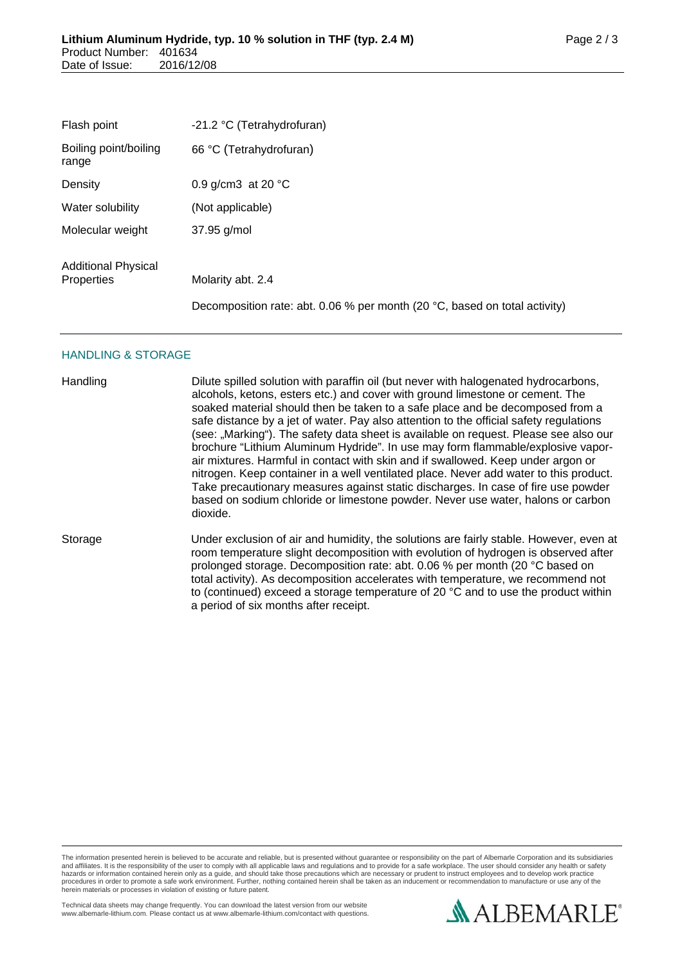| Flash point                              | -21.2 °C (Tetrahydrofuran)                                                 |
|------------------------------------------|----------------------------------------------------------------------------|
| Boiling point/boiling<br>range           | 66 °C (Tetrahydrofuran)                                                    |
| Density                                  | 0.9 g/cm3 at 20 $^{\circ}$ C                                               |
| Water solubility                         | (Not applicable)                                                           |
| Molecular weight                         | 37.95 g/mol                                                                |
| <b>Additional Physical</b><br>Properties | Molarity abt. 2.4                                                          |
|                                          | Decomposition rate: abt. 0.06 % per month (20 °C, based on total activity) |

#### HANDLING & STORAGE

| Handling | Dilute spilled solution with paraffin oil (but never with halogenated hydrocarbons,<br>alcohols, ketons, esters etc.) and cover with ground limestone or cement. The<br>soaked material should then be taken to a safe place and be decomposed from a<br>safe distance by a jet of water. Pay also attention to the official safety regulations<br>(see: "Marking"). The safety data sheet is available on request. Please see also our<br>brochure "Lithium Aluminum Hydride". In use may form flammable/explosive vapor-<br>air mixtures. Harmful in contact with skin and if swallowed. Keep under argon or<br>nitrogen. Keep container in a well ventilated place. Never add water to this product.<br>Take precautionary measures against static discharges. In case of fire use powder<br>based on sodium chloride or limestone powder. Never use water, halons or carbon<br>dioxide. |
|----------|---------------------------------------------------------------------------------------------------------------------------------------------------------------------------------------------------------------------------------------------------------------------------------------------------------------------------------------------------------------------------------------------------------------------------------------------------------------------------------------------------------------------------------------------------------------------------------------------------------------------------------------------------------------------------------------------------------------------------------------------------------------------------------------------------------------------------------------------------------------------------------------------|
| Storage  | Under exclusion of air and humidity, the solutions are fairly stable. However, even at<br>room temperature slight decomposition with evolution of hydrogen is observed after<br>prolonged storage. Decomposition rate: abt. 0.06 % per month (20 °C based on<br>total activity). As decomposition accelerates with temperature, we recommend not<br>to (continued) exceed a storage temperature of 20 $^{\circ}$ C and to use the product within<br>a period of six months after receipt.                                                                                                                                                                                                                                                                                                                                                                                                   |

The information presented herein is believed to be accurate and reliable, but is presented without guarantee or responsibility on the part of Albemarle Corporation and its subsidiaries<br>and affiliates. It is the responsibil

Technical data sheets may change frequently. You can download the latest version from our website www.albemarle-lithium.com. Please contact us at www.albemarle-lithium.com/contact with questions.